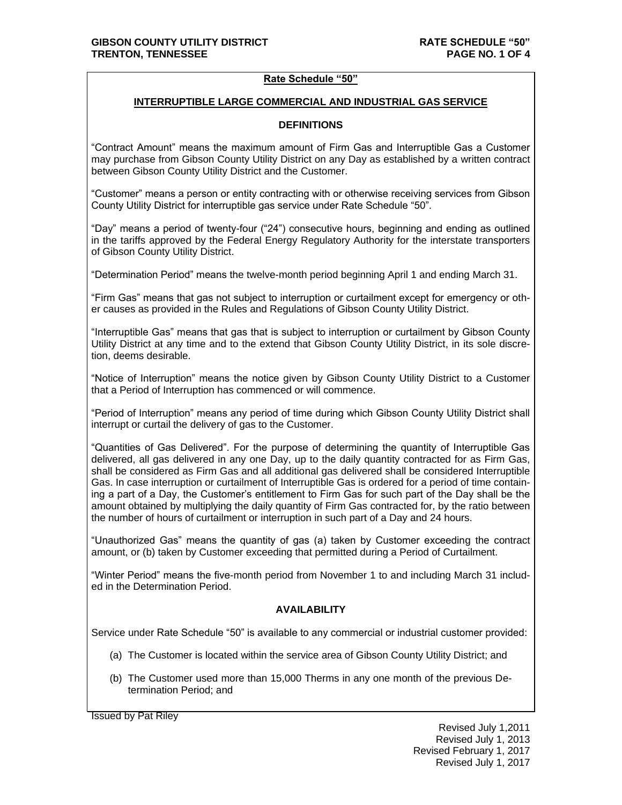### **Rate Schedule "50"**

### **INTERRUPTIBLE LARGE COMMERCIAL AND INDUSTRIAL GAS SERVICE**

## **DEFINITIONS**

"Contract Amount" means the maximum amount of Firm Gas and Interruptible Gas a Customer may purchase from Gibson County Utility District on any Day as established by a written contract between Gibson County Utility District and the Customer.

"Customer" means a person or entity contracting with or otherwise receiving services from Gibson County Utility District for interruptible gas service under Rate Schedule "50".

"Day" means a period of twenty-four ("24") consecutive hours, beginning and ending as outlined in the tariffs approved by the Federal Energy Regulatory Authority for the interstate transporters of Gibson County Utility District.

"Determination Period" means the twelve-month period beginning April 1 and ending March 31.

"Firm Gas" means that gas not subject to interruption or curtailment except for emergency or other causes as provided in the Rules and Regulations of Gibson County Utility District.

"Interruptible Gas" means that gas that is subject to interruption or curtailment by Gibson County Utility District at any time and to the extend that Gibson County Utility District, in its sole discretion, deems desirable.

"Notice of Interruption" means the notice given by Gibson County Utility District to a Customer that a Period of Interruption has commenced or will commence.

"Period of Interruption" means any period of time during which Gibson County Utility District shall interrupt or curtail the delivery of gas to the Customer.

"Quantities of Gas Delivered". For the purpose of determining the quantity of Interruptible Gas delivered, all gas delivered in any one Day, up to the daily quantity contracted for as Firm Gas, shall be considered as Firm Gas and all additional gas delivered shall be considered Interruptible Gas. In case interruption or curtailment of Interruptible Gas is ordered for a period of time containing a part of a Day, the Customer's entitlement to Firm Gas for such part of the Day shall be the amount obtained by multiplying the daily quantity of Firm Gas contracted for, by the ratio between the number of hours of curtailment or interruption in such part of a Day and 24 hours.

"Unauthorized Gas" means the quantity of gas (a) taken by Customer exceeding the contract amount, or (b) taken by Customer exceeding that permitted during a Period of Curtailment.

"Winter Period" means the five-month period from November 1 to and including March 31 included in the Determination Period.

# **AVAILABILITY**

Service under Rate Schedule "50" is available to any commercial or industrial customer provided:

- (a) The Customer is located within the service area of Gibson County Utility District; and
- (b) The Customer used more than 15,000 Therms in any one month of the previous Determination Period; and

Issued by Pat Riley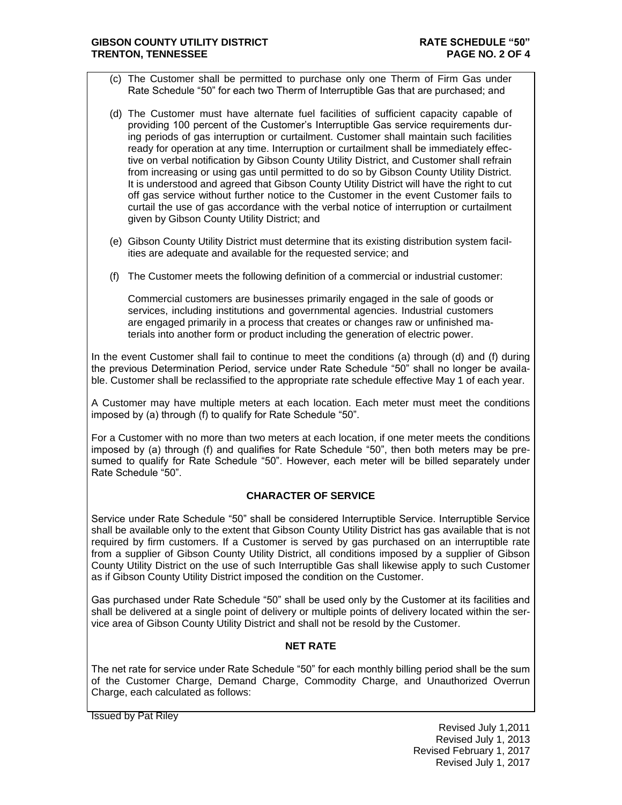### **GIBSON COUNTY UTILITY DISTRICT RATE SCHEDULE "50" TRENTON, TENNESSEE PAGE NO. 2 OF 4**

- (c) The Customer shall be permitted to purchase only one Therm of Firm Gas under Rate Schedule "50" for each two Therm of Interruptible Gas that are purchased; and
- (d) The Customer must have alternate fuel facilities of sufficient capacity capable of providing 100 percent of the Customer's Interruptible Gas service requirements during periods of gas interruption or curtailment. Customer shall maintain such facilities ready for operation at any time. Interruption or curtailment shall be immediately effective on verbal notification by Gibson County Utility District, and Customer shall refrain from increasing or using gas until permitted to do so by Gibson County Utility District. It is understood and agreed that Gibson County Utility District will have the right to cut off gas service without further notice to the Customer in the event Customer fails to curtail the use of gas accordance with the verbal notice of interruption or curtailment given by Gibson County Utility District; and
- (e) Gibson County Utility District must determine that its existing distribution system facilities are adequate and available for the requested service; and
- (f) The Customer meets the following definition of a commercial or industrial customer:

Commercial customers are businesses primarily engaged in the sale of goods or services, including institutions and governmental agencies. Industrial customers are engaged primarily in a process that creates or changes raw or unfinished materials into another form or product including the generation of electric power.

In the event Customer shall fail to continue to meet the conditions (a) through (d) and (f) during the previous Determination Period, service under Rate Schedule "50" shall no longer be available. Customer shall be reclassified to the appropriate rate schedule effective May 1 of each year.

A Customer may have multiple meters at each location. Each meter must meet the conditions imposed by (a) through (f) to qualify for Rate Schedule "50".

For a Customer with no more than two meters at each location, if one meter meets the conditions imposed by (a) through (f) and qualifies for Rate Schedule "50", then both meters may be presumed to qualify for Rate Schedule "50". However, each meter will be billed separately under Rate Schedule "50".

# **CHARACTER OF SERVICE**

Service under Rate Schedule "50" shall be considered Interruptible Service. Interruptible Service shall be available only to the extent that Gibson County Utility District has gas available that is not required by firm customers. If a Customer is served by gas purchased on an interruptible rate from a supplier of Gibson County Utility District, all conditions imposed by a supplier of Gibson County Utility District on the use of such Interruptible Gas shall likewise apply to such Customer as if Gibson County Utility District imposed the condition on the Customer.

Gas purchased under Rate Schedule "50" shall be used only by the Customer at its facilities and shall be delivered at a single point of delivery or multiple points of delivery located within the service area of Gibson County Utility District and shall not be resold by the Customer.

# **NET RATE**

The net rate for service under Rate Schedule "50" for each monthly billing period shall be the sum of the Customer Charge, Demand Charge, Commodity Charge, and Unauthorized Overrun Charge, each calculated as follows:

Issued by Pat Riley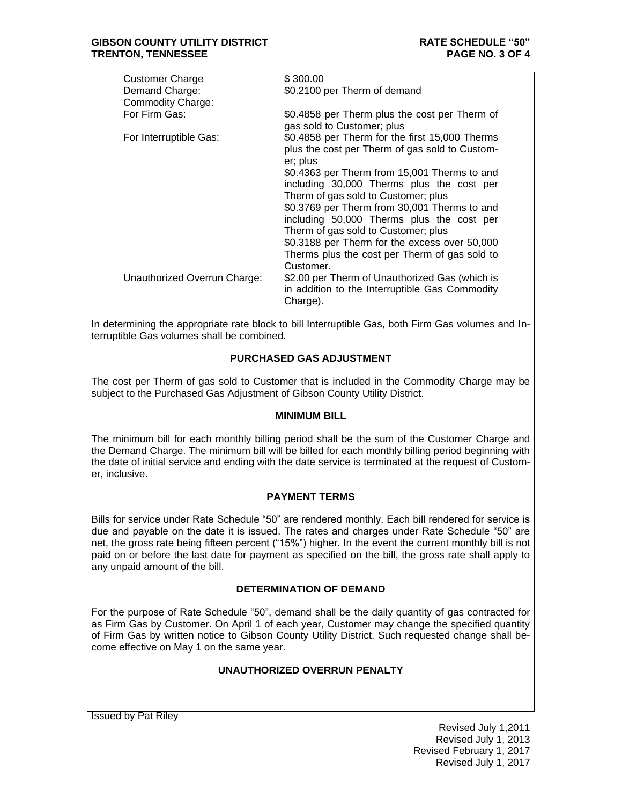| <b>Customer Charge</b>       | \$300.00                                                                                                                         |
|------------------------------|----------------------------------------------------------------------------------------------------------------------------------|
| Demand Charge:               | \$0.2100 per Therm of demand                                                                                                     |
| <b>Commodity Charge:</b>     |                                                                                                                                  |
| For Firm Gas:                | \$0.4858 per Therm plus the cost per Therm of<br>gas sold to Customer; plus                                                      |
| For Interruptible Gas:       | \$0.4858 per Therm for the first 15,000 Therms<br>plus the cost per Therm of gas sold to Custom-<br>er; plus                     |
|                              | \$0.4363 per Therm from 15,001 Therms to and<br>including 30,000 Therms plus the cost per<br>Therm of gas sold to Customer; plus |
|                              | \$0.3769 per Therm from 30,001 Therms to and<br>including 50,000 Therms plus the cost per<br>Therm of gas sold to Customer; plus |
|                              | \$0.3188 per Therm for the excess over 50,000<br>Therms plus the cost per Therm of gas sold to<br>Customer.                      |
| Unauthorized Overrun Charge: | \$2.00 per Therm of Unauthorized Gas (which is<br>in addition to the Interruptible Gas Commodity<br>Charge).                     |
|                              |                                                                                                                                  |

In determining the appropriate rate block to bill Interruptible Gas, both Firm Gas volumes and Interruptible Gas volumes shall be combined.

# **PURCHASED GAS ADJUSTMENT**

The cost per Therm of gas sold to Customer that is included in the Commodity Charge may be subject to the Purchased Gas Adjustment of Gibson County Utility District.

#### **MINIMUM BILL**

The minimum bill for each monthly billing period shall be the sum of the Customer Charge and the Demand Charge. The minimum bill will be billed for each monthly billing period beginning with the date of initial service and ending with the date service is terminated at the request of Customer, inclusive.

#### **PAYMENT TERMS**

Bills for service under Rate Schedule "50" are rendered monthly. Each bill rendered for service is due and payable on the date it is issued. The rates and charges under Rate Schedule "50" are net, the gross rate being fifteen percent ("15%") higher. In the event the current monthly bill is not paid on or before the last date for payment as specified on the bill, the gross rate shall apply to any unpaid amount of the bill.

# **DETERMINATION OF DEMAND**

For the purpose of Rate Schedule "50", demand shall be the daily quantity of gas contracted for as Firm Gas by Customer. On April 1 of each year, Customer may change the specified quantity of Firm Gas by written notice to Gibson County Utility District. Such requested change shall become effective on May 1 on the same year.

# **UNAUTHORIZED OVERRUN PENALTY**

Issued by Pat Riley